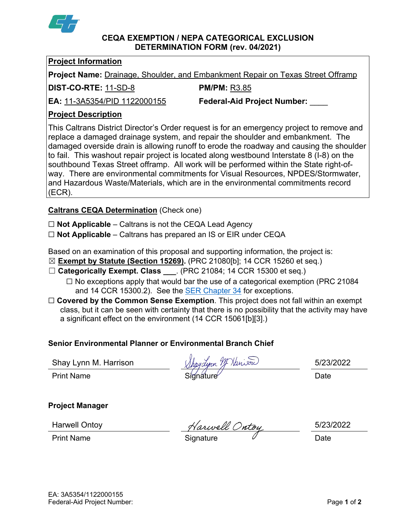

#### **CEQA EXEMPTION / NEPA CATEGORICAL EXCLUSION DETERMINATION FORM (rev. 04/2021)**

#### **Project Information**

**Project Name:** Drainage, Shoulder, and Embankment Repair on Texas Street Offramp

**DIST-CO-RTE:** 11-SD-8 **PM/PM:** R3.85

**EA:** 11-3A5354/PID 1122000155 **Federal-Aid Project Number:** \_\_\_\_

# **Project Description**

This Caltrans District Director's Order request is for an emergency project to remove and replace a damaged drainage system, and repair the shoulder and embankment. The damaged overside drain is allowing runoff to erode the roadway and causing the shoulder to fail. This washout repair project is located along westbound Interstate 8 (I-8) on the southbound Texas Street offramp. All work will be performed within the State right-ofway. There are environmental commitments for Visual Resources, NPDES/Stormwater, and Hazardous Waste/Materials, which are in the environmental commitments record (ECR).

## **Caltrans CEQA Determination** (Check one)

☐ **Not Applicable** – Caltrans is not the CEQA Lead Agency

☐ **Not Applicable** – Caltrans has prepared an IS or EIR under CEQA

Based on an examination of this proposal and supporting information, the project is:

- ☒ **Exempt by Statute (Section 15269).** (PRC 21080[b]; 14 CCR 15260 et seq.)
- ☐ **Categorically Exempt. Class \_\_\_**. (PRC 21084; 14 CCR 15300 et seq.)
	- $\Box$  No exceptions apply that would bar the use of a categorical exemption (PRC 21084) and 14 CCR 15300.2). See the [SER Chapter 34](https://dot.ca.gov/programs/environmental-analysis/standard-environmental-reference-ser/volume-1-guidance-for-compliance/ch-34-exemptions-to-ceqa#except) for exceptions.
- □ **Covered by the Common Sense Exemption**. This project does not fall within an exempt class, but it can be seen with certainty that there is no possibility that the activity may have a significant effect on the environment (14 CCR 15061[b][3].)

## **Senior Environmental Planner or Environmental Branch Chief**

Shay Lynn M. Harrison *Mhaydynn If Nanison* 5/23/2022 Print Name Signature Date

## **Project Manager**

Harwell Ontoy Marwell Ontoy 5/23/2022

Print Name **Signature Construction** Construction Construction Construction Construction Date